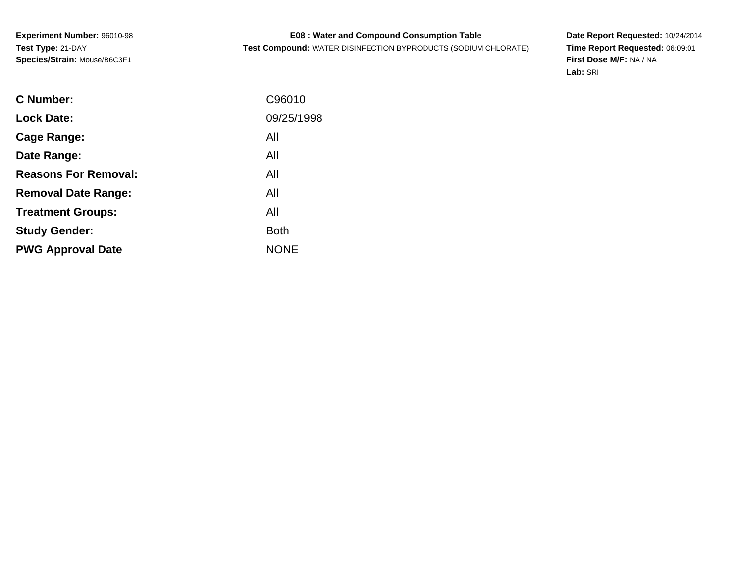# **E08 : Water and Compound Consumption Table**

**Test Compound:** WATER DISINFECTION BYPRODUCTS (SODIUM CHLORATE)

| C Number:                   | C96010      |
|-----------------------------|-------------|
| <b>Lock Date:</b>           | 09/25/1998  |
| Cage Range:                 | All         |
| Date Range:                 | All         |
| <b>Reasons For Removal:</b> | All         |
| <b>Removal Date Range:</b>  | All         |
| <b>Treatment Groups:</b>    | All         |
| <b>Study Gender:</b>        | <b>Both</b> |
| <b>PWG Approval Date</b>    | <b>NONE</b> |
|                             |             |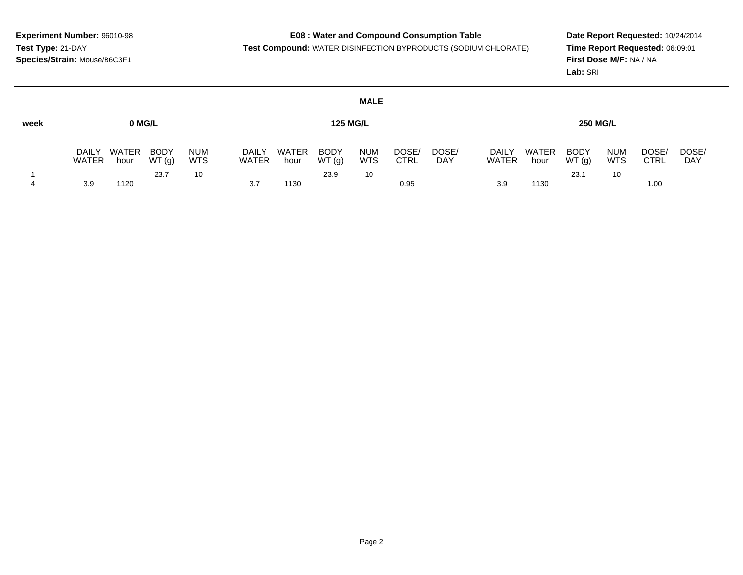**Test Compound:** WATER DISINFECTION BYPRODUCTS (SODIUM CHLORATE)

|      | <b>MALE</b>           |               |                      |                          |                       |                      |                      |                          |                      |                     |                       |                      |                      |                          |                      |              |
|------|-----------------------|---------------|----------------------|--------------------------|-----------------------|----------------------|----------------------|--------------------------|----------------------|---------------------|-----------------------|----------------------|----------------------|--------------------------|----------------------|--------------|
| week | 0 MG/L                |               |                      |                          |                       | <b>125 MG/L</b>      |                      |                          |                      |                     | <b>250 MG/L</b>       |                      |                      |                          |                      |              |
|      | <b>DAILY</b><br>WATER | WATER<br>hour | <b>BODY</b><br>WT(g) | <b>NUM</b><br><b>WTS</b> | <b>DAILY</b><br>WATER | <b>WATER</b><br>hour | <b>BODY</b><br>WT(g) | <b>NUM</b><br><b>WTS</b> | DOSE/<br><b>CTRL</b> | DOSE/<br><b>DAY</b> | <b>DAILY</b><br>WATER | <b>WATER</b><br>hour | <b>BODY</b><br>WT(g) | <b>NUM</b><br><b>WTS</b> | DOSE/<br><b>CTRL</b> | DOSE/<br>DAY |
|      |                       |               | 23.7                 | 10                       |                       |                      | 23.9                 | 10                       |                      |                     |                       |                      | 23.1                 | 10                       |                      |              |
|      | 3.9                   | 1120          |                      |                          | 3.7                   | 1130                 |                      |                          | 0.95                 |                     | 3.9                   | 1130                 |                      |                          | 1.00                 |              |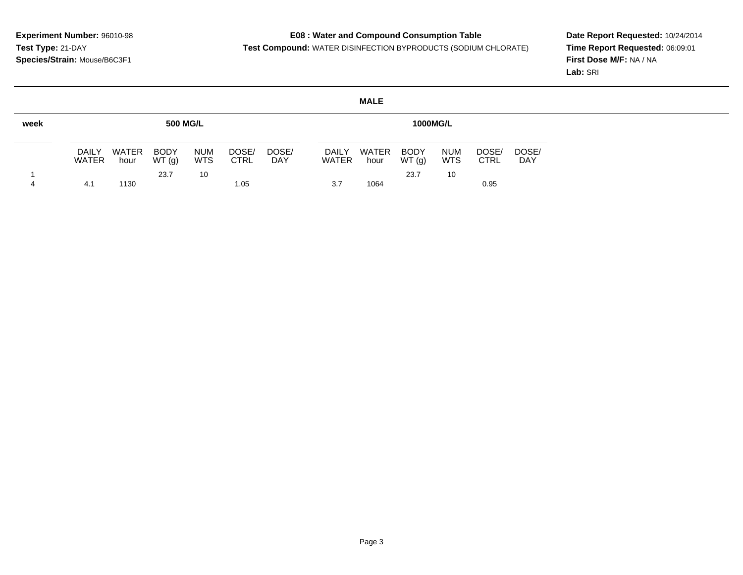# **E08 : Water and Compound Consumption Table**

**Test Compound:** WATER DISINFECTION BYPRODUCTS (SODIUM CHLORATE)

|      | <b>MALE</b>           |                      |                      |                          |                      |                     |  |                              |               |                      |                          |                      |              |
|------|-----------------------|----------------------|----------------------|--------------------------|----------------------|---------------------|--|------------------------------|---------------|----------------------|--------------------------|----------------------|--------------|
| week | <b>500 MG/L</b>       |                      |                      |                          |                      |                     |  | <b>1000MG/L</b>              |               |                      |                          |                      |              |
|      | DAILY<br><b>WATER</b> | <b>WATER</b><br>hour | <b>BODY</b><br>WT(g) | <b>NUM</b><br><b>WTS</b> | DOSE/<br><b>CTRL</b> | DOSE/<br><b>DAY</b> |  | <b>DAILY</b><br><b>WATER</b> | WATER<br>hour | <b>BODY</b><br>WT(g) | <b>NUM</b><br><b>WTS</b> | DOSE/<br><b>CTRL</b> | DOSE/<br>DAY |
| 4    | 4.1                   | 1130                 | 23.7                 | 10                       | 1.05                 |                     |  | 3.7                          | 1064          | 23.7                 | 10                       | 0.95                 |              |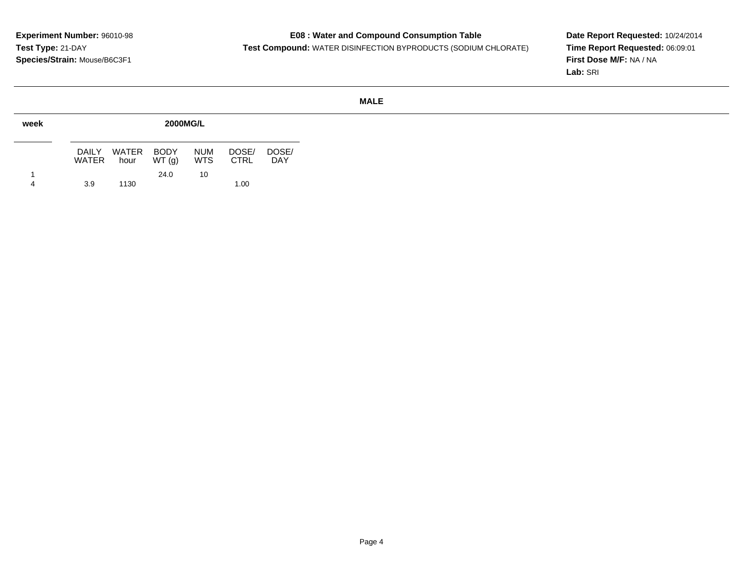## **E08 : Water and Compound Consumption Table**

**Test Compound:** WATER DISINFECTION BYPRODUCTS (SODIUM CHLORATE)

**Date Report Requested:** 10/24/2014 **Time Report Requested:** 06:09:01**First Dose M/F:** NA / NA**Lab:** SRI

#### **MALE**

| week |                       | <b>2000MG/L</b> |                      |                          |                      |                     |  |  |  |  |  |  |  |
|------|-----------------------|-----------------|----------------------|--------------------------|----------------------|---------------------|--|--|--|--|--|--|--|
|      | DAILY<br><b>WATER</b> | WATER<br>hour   | <b>BODY</b><br>WT(q) | <b>NUM</b><br><b>WTS</b> | DOSE/<br><b>CTRL</b> | DOSE/<br><b>DAY</b> |  |  |  |  |  |  |  |
|      |                       |                 | 24.0                 | 10                       |                      |                     |  |  |  |  |  |  |  |
| 4    | 3.9                   | 1130            |                      |                          | 1.00                 |                     |  |  |  |  |  |  |  |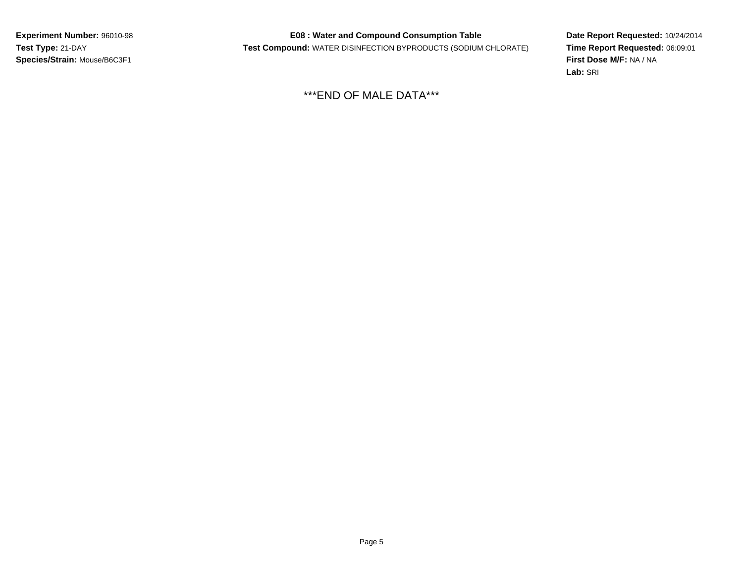**E08 : Water and Compound Consumption Table**

**Test Compound:** WATER DISINFECTION BYPRODUCTS (SODIUM CHLORATE)

**Date Report Requested:** 10/24/2014**Time Report Requested:** 06:09:01**First Dose M/F:** NA / NA**Lab:** SRI

\*\*\*END OF MALE DATA\*\*\*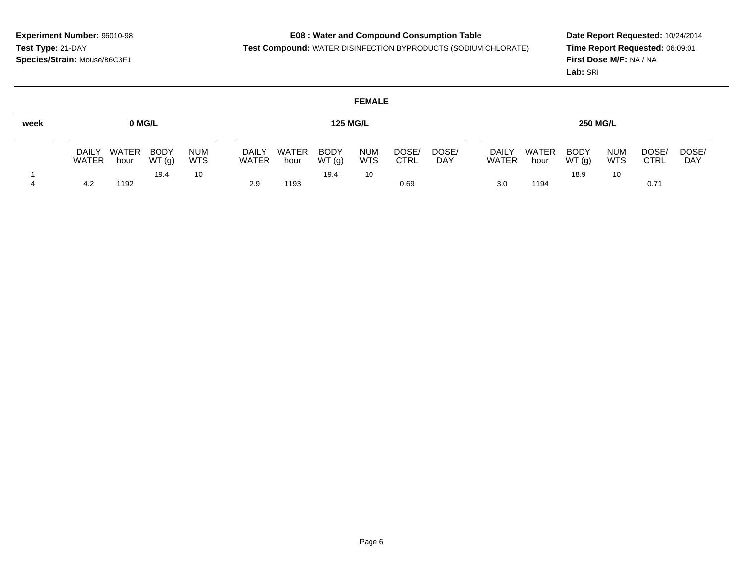**Test Compound:** WATER DISINFECTION BYPRODUCTS (SODIUM CHLORATE)

|      | <b>FEMALE</b>                |               |                      |                          |  |                              |                      |                      |                          |                      |                     |                              |                      |                      |                          |                      |                     |
|------|------------------------------|---------------|----------------------|--------------------------|--|------------------------------|----------------------|----------------------|--------------------------|----------------------|---------------------|------------------------------|----------------------|----------------------|--------------------------|----------------------|---------------------|
| week | 0 MG/L                       |               |                      |                          |  | <b>125 MG/L</b>              |                      |                      |                          |                      | <b>250 MG/L</b>     |                              |                      |                      |                          |                      |                     |
|      | <b>DAILY</b><br><b>WATER</b> | WATER<br>hour | <b>BODY</b><br>WT(g) | <b>NUM</b><br><b>WTS</b> |  | <b>DAILY</b><br><b>WATER</b> | <b>WATER</b><br>hour | <b>BODY</b><br>WT(g) | <b>NUM</b><br><b>WTS</b> | DOSE/<br><b>CTRL</b> | DOSE/<br><b>DAY</b> | <b>DAILY</b><br><b>WATER</b> | <b>WATER</b><br>hour | <b>BODY</b><br>WT(g) | <b>NUM</b><br><b>WTS</b> | DOSE/<br><b>CTRL</b> | DOSE/<br><b>DAY</b> |
|      | 4.2                          | 1192          | 19.4                 | 10                       |  | 2.9                          | 1193                 | 19.4                 | 10                       | 0.69                 |                     | 3.0                          | 1194                 | 18.9                 | 10                       | 0.71                 |                     |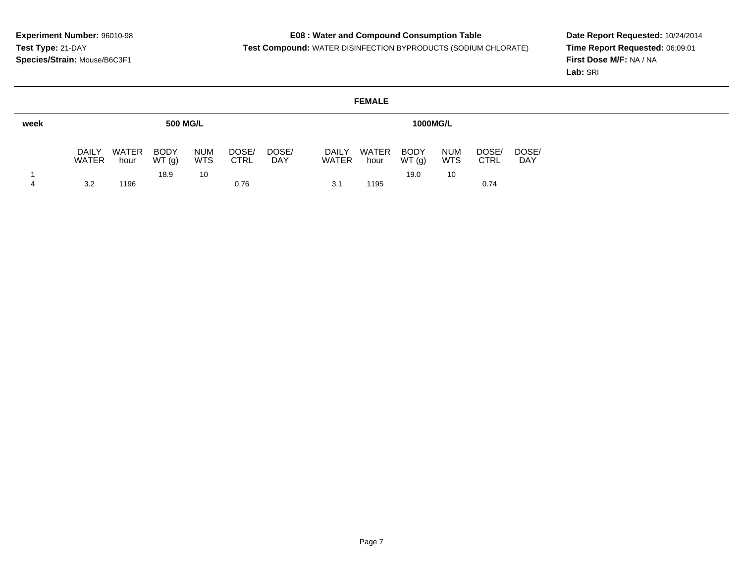**Test Compound:** WATER DISINFECTION BYPRODUCTS (SODIUM CHLORATE)

**Date Report Requested:** 10/24/2014 **Time Report Requested:** 06:09:01**First Dose M/F:** NA / NA**Lab:** SRI

#### **FEMALEweek**1 4**500 MG/L**DAILY WATER BODY WATER hour WT (g)NUM WTS9 10 DOSE/ CTRLDOSE/ DAY18.93.22 1196 0.76 **1000MG/L**DAILY WATERWATER hourBODY WT (g)NUM WTS0 10 DOSE/ CTRLDOSE/ DAY19.03.11 1195 0.74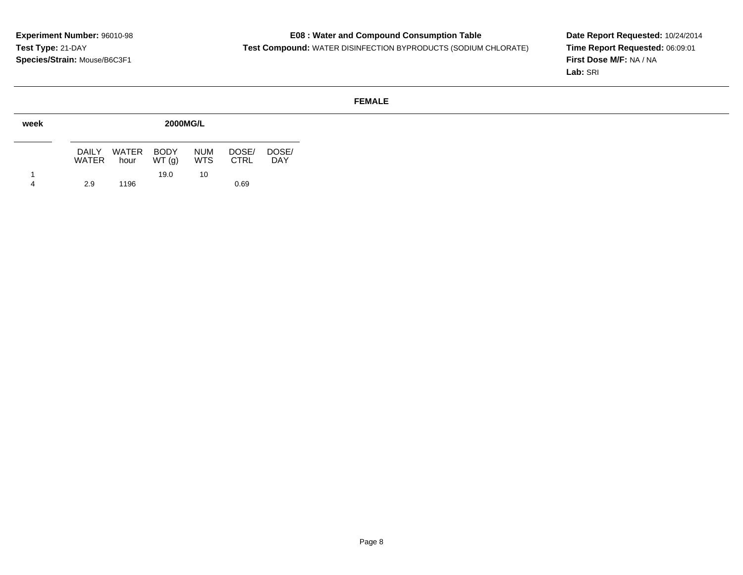**Test Compound:** WATER DISINFECTION BYPRODUCTS (SODIUM CHLORATE)

**Date Report Requested:** 10/24/2014 **Time Report Requested:** 06:09:01**First Dose M/F:** NA / NA**Lab:** SRI

#### **FEMALE**

| week |                |                    |       |                          |                      |              |
|------|----------------|--------------------|-------|--------------------------|----------------------|--------------|
|      | DAILY<br>WATER | WATER BODY<br>hour | WT(q) | <b>NUM</b><br><b>WTS</b> | DOSE/<br><b>CTRL</b> | DOSE/<br>DAY |
|      |                |                    | 19.0  | 10                       |                      |              |
| 4    | 2.9            | 1196               |       |                          | 0.69                 |              |